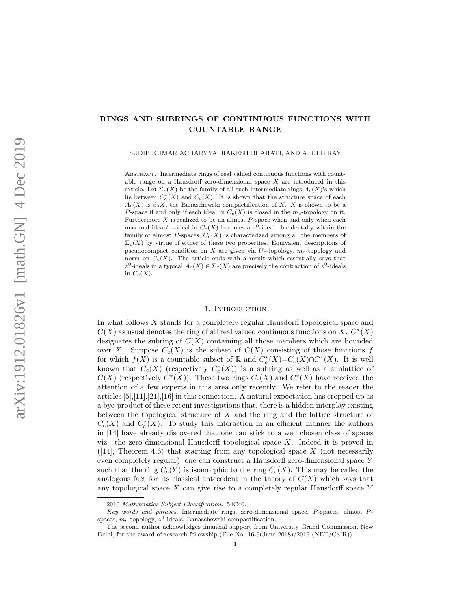# RINGS AND SUBRINGS OF CONTINUOUS FUNCTIONS WITH COUNTABLE RANGE

SUDIP KUMAR ACHARYYA, RAKESH BHARATI, AND A. DEB RAY

Abstract. Intermediate rings of real valued continuous functions with countable range on a Hausdorff zero-dimensional space X are introduced in this article. Let  $\Sigma_c(X)$  be the family of all such intermediate rings  $A_c(X)$ 's which lie between  $C_c^*(X)$  and  $C_c(X)$ . It is shown that the structure space of each  $A_c(X)$  is  $\beta_0 X$ , the Banaschewski compactification of X. X is shown to be a P-space if and only if each ideal in  $C_c(X)$  is closed in the  $m_c$ -topology on it. Furthermore  $X$  is realized to be an almost  $P$ -space when and only when each maximal ideal/ z-ideal in  $C_c(X)$  becomes a  $z^0$ -ideal. Incidentally within the family of almost P-spaces,  $C_c(X)$  is characterized among all the members of  $\Sigma_c(X)$  by virtue of either of these two properties. Equivalent descriptions of pseudocompact condition on X are given via  $U_c$ -topology,  $m_c$ -topology and norm on  $C_c(X)$ . The article ends with a result which essentially says that z<sup>0</sup>-ideals in a typical  $A_c(X) \in \Sigma_c(X)$  are precisely the contraction of  $z^0$ -ideals in  $C_c(X)$ .

#### 1. INTRODUCTION

In what follows X stands for a completely regular Hausdorff topological space and  $C(X)$  as usual denotes the ring of all real valued continuous functions on X.  $C^*(X)$ designates the subring of  $C(X)$  containing all those members which are bounded over X. Suppose  $C_c(X)$  is the subset of  $C(X)$  consisting of those functions f for which  $f(X)$  is a countable subset of R and  $C_c^*(X)=C_c(X)\cap C^*(X)$ . It is well known that  $C_c(X)$  (respectively  $C_c^*(X)$ ) is a subring as well as a sublattice of  $C(X)$  (respectively  $C^*(X)$ ). These two rings  $C_c(X)$  and  $C_c^*(X)$  have received the attention of a few experts in this area only recently. We refer to the reader the articles  $[5], [11], [21], [16]$  in this connection. A natural expectation has cropped up as a bye-product of these recent investigations that, there is a hidden interplay existing between the topological structure of  $X$  and the ring and the lattice structure of  $C_c(X)$  and  $C_c^*(X)$ . To study this interaction in an efficient manner the authors in [14] have already discovered that one can stick to a well chosen class of spaces viz. the zero-dimensional Hausdorff topological space  $X$ . Indeed it is proved in ([14], Theorem 4.6) that starting from any topological space  $X$  (not necessarily even completely regular), one can construct a Hausdorff zero-dimensional space Y such that the ring  $C_c(Y)$  is isomorphic to the ring  $C_c(X)$ . This may be called the analogous fact for its classical antecedent in the theory of  $C(X)$  which says that any topological space X can give rise to a completely regular Hausdorff space Y

<sup>2010</sup> Mathematics Subject Classification. 54C40.

Key words and phrases. Intermediate rings, zero-dimensional space, P-spaces, almost Pspaces,  $m_c$ -topology,  $z^0$ -ideals, Banaschewski compactification.

The second author acknowledges financial support from University Grand Commission, New Delhi, for the award of research fellowship (File No. 16-9(June 2018)/2019 (NET/CSIR)).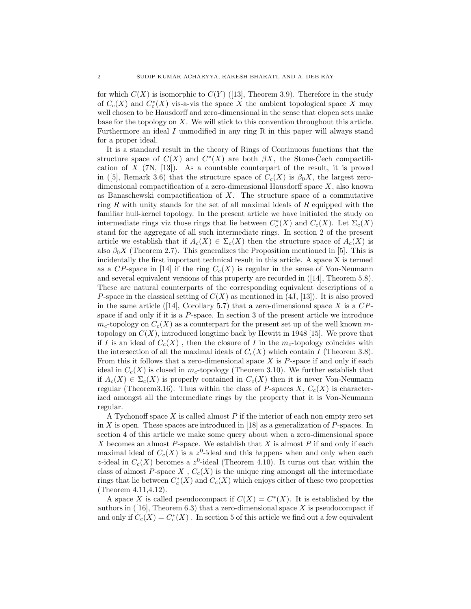for which  $C(X)$  is isomorphic to  $C(Y)$  ([13], Theorem 3.9). Therefore in the study of  $C_c(X)$  and  $C_c^*(X)$  vis-a-vis the space X the ambient topological space X may well chosen to be Hausdorff and zero-dimensional in the sense that clopen sets make base for the topology on  $X$ . We will stick to this convention throughout this article. Furthermore an ideal I unmodified in any ring R in this paper will always stand for a proper ideal.

It is a standard result in the theory of Rings of Continuous functions that the structure space of  $C(X)$  and  $C^*(X)$  are both  $\beta X$ , the Stone-C<sup>†</sup>ech compactification of  $X$  (7N, [13]). As a countable counterpart of the result, it is proved in ([5], Remark 3.6) that the structure space of  $C_c(X)$  is  $\beta_0 X$ , the largest zerodimensional compactification of a zero-dimensional Hausdorff space X, also known as Banaschewski compactification of X. The structure space of a commutative ring R with unity stands for the set of all maximal ideals of R equipped with the familiar hull-kernel topology. In the present article we have initiated the study on intermediate rings viz those rings that lie between  $C_c^*(X)$  and  $C_c(X)$ . Let  $\Sigma_c(X)$ stand for the aggregate of all such intermediate rings. In section 2 of the present article we establish that if  $A_c(X) \in \Sigma_c(X)$  then the structure space of  $A_c(X)$  is also  $\beta_0 X$  (Theorem 2.7). This generalizes the Proposition mentioned in [5]. This is incidentally the first important technical result in this article. A space X is termed as a CP-space in [14] if the ring  $C_c(X)$  is regular in the sense of Von-Neumann and several equivalent versions of this property are recorded in ([14], Theorem 5.8). These are natural counterparts of the corresponding equivalent descriptions of a P-space in the classical setting of  $C(X)$  as mentioned in (4J, [13]). It is also proved in the same article ([14], Corollary 5.7) that a zero-dimensional space X is a  $CP$ space if and only if it is a  $P$ -space. In section 3 of the present article we introduce  $m_c$ -topology on  $C_c(X)$  as a counterpart for the present set up of the well known mtopology on  $C(X)$ , introduced longtime back by Hewitt in 1948 [15]. We prove that if I is an ideal of  $C_c(X)$ , then the closure of I in the  $m_c$ -topology coincides with the intersection of all the maximal ideals of  $C_c(X)$  which contain I (Theorem 3.8). From this it follows that a zero-dimensional space  $X$  is  $P$ -space if and only if each ideal in  $C_c(X)$  is closed in  $m_c$ -topology (Theorem 3.10). We further establish that if  $A_c(X) \in \Sigma_c(X)$  is properly contained in  $C_c(X)$  then it is never Von-Neumann regular (Theorem3.16). Thus within the class of P-spaces  $X, C_c(X)$  is characterized amongst all the intermediate rings by the property that it is Von-Neumann regular.

A Tychonoff space X is called almost  $P$  if the interior of each non empty zero set in X is open. These spaces are introduced in [18] as a generalization of  $P$ -spaces. In section 4 of this article we make some query about when a zero-dimensional space X becomes an almost  $P$ -space. We establish that X is almost  $P$  if and only if each maximal ideal of  $C_c(X)$  is a  $z^0$ -ideal and this happens when and only when each z-ideal in  $C_c(X)$  becomes a  $z^0$ -ideal (Theorem 4.10). It turns out that within the class of almost  $P$ -space  $X$  ,  $C_c(X)$  is the unique ring amongst all the intermediate rings that lie between  $C_c^*(X)$  and  $C_c(X)$  which enjoys either of these two properties (Theorem 4.11,4.12).

A space X is called pseudocompact if  $C(X) = C^{*}(X)$ . It is established by the authors in  $(16)$ , Theorem 6.3) that a zero-dimensional space X is pseudocompact if and only if  $C_c(X) = C_c^*(X)$ . In section 5 of this article we find out a few equivalent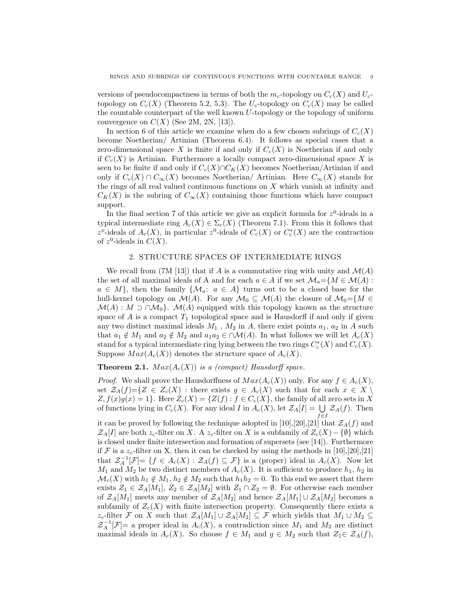versions of pseudocompactness in terms of both the  $m_c$ -topology on  $C_c(X)$  and  $U_c$ topology on  $C_c(X)$  (Theorem 5.2, 5.3). The  $U_c$ -topology on  $C_c(X)$  may be called the countable counterpart of the well known  $U$ -topology or the topology of uniform convergence on  $C(X)$  (See 2M, 2N, [13]).

In section 6 of this article we examine when do a few chosen subrings of  $C_c(X)$ become Noetherian/ Artinian (Theorem 6.4). It follows as special cases that a zero-dimensional space X is finite if and only if  $C_c(X)$  is Noetherian if and only if  $C_c(X)$  is Artinian. Furthermore a locally compact zero-dimensional space X is seen to be finite if and only if  $C_c(X) \cap C_K(X)$  becomes Noetherian/Artinian if and only if  $C_c(X) \cap C_{\infty}(X)$  becomes Noetherian/ Artinian. Here  $C_{\infty}(X)$  stands for the rings of all real valued continuous functions on  $X$  which vanish at infinity and  $C_K(X)$  is the subring of  $C_{\infty}(X)$  containing those functions which have compact support.

In the final section 7 of this article we give an explicit formula for  $z^0$ -ideals in a typical intermediate ring  $A_c(X) \in \Sigma_c(X)$  (Theorem 7.1). From this it follows that z<sup>o</sup>-ideals of  $A_c(X)$ , in particular z<sup>0</sup>-ideals of  $C_c(X)$  or  $C_c^*(X)$  are the contraction of  $z^0$ -ideals in  $C(X)$ .

## 2. STRUCTURE SPACES OF INTERMEDIATE RINGS

We recall from (7M [13]) that if A is a commutative ring with unity and  $\mathcal{M}(A)$ the set of all maximal ideals of A and for each  $a \in A$  if we set  $\mathcal{M}_a = \{M \in \mathcal{M}(A) :$  $a \in M$ , then the family  $\{M_a: a \in A\}$  turns out to be a closed base for the hull-kernel topology on  $\mathcal{M}(A)$ . For any  $\mathcal{M}_0 \subseteq \mathcal{M}(A)$  the closure of  $\mathcal{M}_0 = \{M \in$  $\mathcal{M}(A): M \supset \cap \mathcal{M}_0$ .  $\mathcal{M}(A)$  equipped with this topology known as the structure space of  $A$  is a compact  $T_1$  topological space and is Hausdorff if and only if given any two distinct maximal ideals  $M_1$ ,  $M_2$  in A, there exist points  $a_1$ ,  $a_2$  in A such that  $a_1 \notin M_1$  and  $a_2 \notin M_2$  and  $a_1a_2 \in \bigcap \mathcal{M}(A)$ . In what follows we will let  $A_c(X)$ stand for a typical intermediate ring lying between the two rings  $C_c^*(X)$  and  $C_c(X)$ . Suppose  $Max(A_c(X))$  denotes the structure space of  $A_c(X)$ .

**Theorem 2.1.**  $Max(A_c(X))$  is a (compact) Hausdorff space.

*Proof.* We shall prove the Hausdorffness of  $Max(A_c(X))$  only. For any  $f \in A_c(X)$ , set  $\mathcal{Z}_A(f)=\{Z \in Z_c(X)$  : there exists  $g \in A_c(X)$  such that for each  $x \in X \setminus$  $Z, f(x)g(x) = 1$ . Here  $Z_c(X) = \{Z(f) : f \in C_c(X)\}$ , the family of all zero sets in X of functions lying in  $C_c(X)$ . For any ideal I in  $\hat{A_c(X)}$ , let  $\mathcal{Z}_A[I] = \bigcup_{f \in I} \mathcal{Z}_A(f)$ . Then

it can be proved by following the technique adopted in [10],[20],[21] that  $\mathcal{Z}_A(f)$  and  $\mathcal{Z}_A[I]$  are both  $z_c$ -filter on X. A  $z_c$ -filter on X is a subfamily of  $Z_c(X) - \{\emptyset\}$  which is closed under finite intersection and formation of supersets (see [14]). Furthermore if  $\mathcal F$  is a  $z_c$ -filter on X, then it can be checked by using the methods in [10],[20],[21] that  $\mathcal{Z}_A^{-1}[\mathcal{F}] = \{f \in A_c(X) : \mathcal{Z}_A(f) \subseteq \mathcal{F}\}\$ is a (proper) ideal in  $A_c(X)$ . Now let  $M_1$  and  $M_2$  be two distinct members of  $A_c(X)$ . It is sufficient to produce  $h_1$ ,  $h_2$  in  $\mathcal{M}_c(X)$  with  $h_1 \notin M_1$ ,  $h_2 \notin M_2$  such that  $h_1h_2 = 0$ . To this end we assert that there exists  $Z_1 \in \mathcal{Z}_A[M_1], Z_2 \in \mathcal{Z}_A[M_2]$  with  $Z_1 \cap Z_2 = \emptyset$ . For otherwise each member of  $\mathcal{Z}_A[M_1]$  meets any member of  $\mathcal{Z}_A[M_2]$  and hence  $\mathcal{Z}_A[M_1] \cup \mathcal{Z}_A[M_2]$  becomes a subfamily of  $Z_c(X)$  with finite intersection property. Consequently there exists a  $z_c$ -filter F on X such that  $\mathcal{Z}_A[M_1] \cup \mathcal{Z}_A[M_2] \subseteq \mathcal{F}$  which yields that  $M_1 \cup M_2 \subseteq$  $\mathcal{Z}_A^{-1}[\mathcal{F}]=$  a proper ideal in  $A_c(X)$ , a contradiction since  $M_1$  and  $M_2$  are distinct maximal ideals in  $A_c(X)$ . So choose  $f \in M_1$  and  $g \in M_2$  such that  $Z_1 \in \mathcal{Z}_A(f)$ ,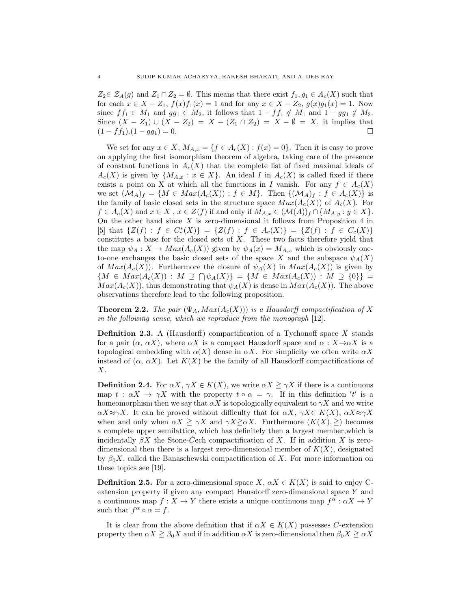$Z_2 \in \mathcal{Z}_A(g)$  and  $Z_1 \cap Z_2 = \emptyset$ . This means that there exist  $f_1, g_1 \in A_c(X)$  such that for each  $x \in X - Z_1$ ,  $f(x)f_1(x) = 1$  and for any  $x \in X - Z_2$ ,  $g(x)g_1(x) = 1$ . Now since  $ff_1 \in M_1$  and  $gg_1 \in M_2$ , it follows that  $1 - ff_1 \notin M_1$  and  $1 - gg_1 \notin M_2$ . Since  $(X - Z_1) \cup (X - Z_2) = X - (Z_1 \cap Z_2) = X - \emptyset = X$ , it implies that  $(1 - ff_1).(1 - gg_1) = 0.$ 

We set for any  $x \in X$ ,  $M_{A,x} = \{f \in A_c(X) : f(x) = 0\}$ . Then it is easy to prove on applying the first isomorphism theorem of algebra, taking care of the presence of constant functions in  $A_c(X)$  that the complete list of fixed maximal ideals of  $A_c(X)$  is given by  $\{M_{A,x} : x \in X\}$ . An ideal I in  $A_c(X)$  is called fixed if there exists a point on X at which all the functions in I vanish. For any  $f \in A_c(X)$ we set  $(\mathcal{M}_A)_f = \{ M \in Max(A_c(X)) : f \in M \}$ . Then  $\{ (\mathcal{M}_A)_f : f \in A_c(X) \}$  is the family of basic closed sets in the structure space  $Max(A_c(X))$  of  $A_c(X)$ . For  $f \in A_c(X)$  and  $x \in X$ ,  $x \in Z(f)$  if and only if  $M_{A,x} \in (\mathcal{M}(A))_f \cap \{M_{A,y} : y \in X\}$ . On the other hand since  $X$  is zero-dimensional it follows from Proposition 4 in  $[5]$  that  $\{Z(f) : f \in C_c^*(X)\} = \{Z(f) : f \in A_c(X)\} = \{Z(f) : f \in C_c(X)\}$ constitutes a base for the closed sets of  $X$ . These two facts therefore yield that the map  $\psi_A: X \to Max(A_c(X))$  given by  $\psi_A(x) = M_{A,x}$  which is obviously oneto-one exchanges the basic closed sets of the space X and the subspace  $\psi_A(X)$ of  $Max(A_c(X))$ . Furthermore the closure of  $\psi_A(X)$  in  $Max(A_c(X))$  is given by  ${M \in Max(A_c(X)) : M \supseteq \bigcap \psi_A(X)} = {M \in Max(A_c(X)) : M \supseteq \{0\}}$  $Max(A_c(X))$ , thus demonstrating that  $\psi_A(X)$  is dense in  $Max(A_c(X))$ . The above observations therefore lead to the following proposition.

**Theorem 2.2.** The pair  $(\Psi_A, Max(A_c(X)))$  is a Hausdorff compactification of X in the following sense, which we reproduce from the monograph [12].

**Definition 2.3.** A (Hausdorff) compactification of a Tychonoff space  $X$  stands for a pair  $(\alpha, \alpha X)$ , where  $\alpha X$  is a compact Hausdorff space and  $\alpha : X \rightarrow \alpha X$  is a topological embedding with  $\alpha(X)$  dense in  $\alpha X$ . For simplicity we often write  $\alpha X$ instead of  $(\alpha, \alpha X)$ . Let  $K(X)$  be the family of all Hausdorff compactifications of  $\boldsymbol{X}.$ 

**Definition 2.4.** For  $\alpha X$ ,  $\gamma X \in K(X)$ , we write  $\alpha X \geq \gamma X$  if there is a continuous map  $t : \alpha X \to \gamma X$  with the property  $t \circ \alpha = \gamma$ . If in this definition 't' is a homeomorphism then we say that  $\alpha X$  is topologically equivalent to  $\gamma X$  and we write  $\alpha X \approx \gamma X$ . It can be proved without difficulty that for  $\alpha X$ ,  $\gamma X \in K(X)$ ,  $\alpha X \approx \gamma X$ when and only when  $\alpha X \geq \gamma X$  and  $\gamma X \geq \alpha X$ . Furthermore  $(K(X), \geq)$  becomes a complete upper semilattice, which has definitely then a largest member,which is incidentally  $\beta X$  the Stone-Cech compactification of X. If in addition X is zerodimensional then there is a largest zero-dimensional member of  $K(X)$ , designated by  $\beta_0 X$ , called the Banaschewski compactification of X. For more information on these topics see [19].

**Definition 2.5.** For a zero-dimensional space  $X, \alpha X \in K(X)$  is said to enjoy Cextension property if given any compact Hausdorff zero-dimensional space Y and a continuous map  $f: X \to Y$  there exists a unique continuous map  $f^{\alpha}: \alpha X \to Y$ such that  $f^{\alpha} \circ \alpha = f$ .

It is clear from the above definition that if  $\alpha X \in K(X)$  possesses C-extension property then  $\alpha X \geq \beta_0 X$  and if in addition  $\alpha X$  is zero-dimensional then  $\beta_0 X \geq \alpha X$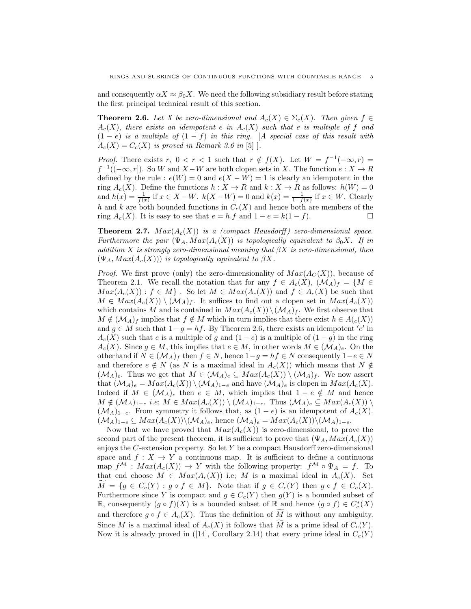and consequently  $\alpha X \approx \beta_0 X$ . We need the following subsidiary result before stating the first principal technical result of this section.

**Theorem 2.6.** Let X be zero-dimensional and  $A_c(X) \in \Sigma_c(X)$ . Then given  $f \in$  $A_c(X)$ , there exists an idempotent e in  $A_c(X)$  such that e is multiple of f and  $(1-e)$  is a multiple of  $(1-f)$  in this ring. [A special case of this result with  $A_c(X) = C_c(X)$  is proved in Remark 3.6 in [5].

*Proof.* There exists r,  $0 < r < 1$  such that  $r \notin f(X)$ . Let  $W = f^{-1}(-\infty, r) =$  $f^{-1}((-\infty, r])$ . So W and  $X - W$  are both clopen sets in X. The function  $e: X \to R$ defined by the rule :  $e(W) = 0$  and  $e(X - W) = 1$  is clearly an idempotent in the ring  $A_c(X)$ . Define the functions  $h: X \to R$  and  $k: X \to R$  as follows:  $h(W) = 0$ and  $h(x) = \frac{1}{f(x)}$  if  $x \in X - W$ .  $k(X - W) = 0$  and  $k(x) = \frac{1}{1 - f(x)}$  if  $x \in W$ . Clearly h and k are both bounded functions in  $C_c(X)$  and hence both are members of the ring  $A_c(X)$ . It is easy to see that  $e = h \cdot f$  and  $1 - e = k(1 - f)$ .

**Theorem 2.7.**  $Max(A_c(X))$  is a (compact Hausdorff) zero-dimensional space. Furthermore the pair  $(\Psi_A, Max(A_c(X))$  is topologically equivalent to  $\beta_0 X$ . If in addition X is strongly zero-dimensional meaning that  $\beta X$  is zero-dimensional, then  $(\Psi_A, Max(A_c(X)))$  is topologically equivalent to  $\beta X$ .

*Proof.* We first prove (only) the zero-dimensionality of  $Max(A_C(X))$ , because of Theorem 2.1. We recall the notation that for any  $f \in A_c(X)$ ,  $(\mathcal{M}_A)_f = \{M \in$  $Max(A_c(X)) : f \in M$ . So let  $M \in Max(A_c(X))$  and  $f \in A_c(X)$  be such that  $M \in Max(A_c(X)) \setminus (\mathcal{M}_A)_f$ . It suffices to find out a clopen set in  $Max(A_c(X))$ which contains M and is contained in  $Max(A_c(X)) \setminus (M_A)_f$ . We first observe that  $M \notin (M_A)_f$  implies that  $f \notin M$  which in turn implies that there exist  $h \in A(c(X))$ and  $g \in M$  such that  $1-g = hf$ . By Theorem 2.6, there exists an idempotent 'e' in  $A_c(X)$  such that e is a multiple of g and  $(1-e)$  is a multiple of  $(1-g)$  in the ring  $A_c(X)$ . Since  $g \in M$ , this implies that  $e \in M$ , in other words  $M \in (M_A)_e$ . On the otherhand if  $N \in (\mathcal{M}_A)_f$  then  $f \in N$ , hence  $1-g = hf \in N$  consequently  $1-e \in N$ and therefore  $e \notin N$  (as N is a maximal ideal in  $A_c(X)$ ) which means that  $N \notin$  $(\mathcal{M}_A)_e$ . Thus we get that  $M \in (\mathcal{M}_A)_e \subseteq Max(A_c(X)) \setminus (\mathcal{M}_A)_f$ . We now assert that  $(\mathcal{M}_A)_e = Max(A_c(X)) \setminus (\mathcal{M}_A)_{1-e}$  and have  $(\mathcal{M}_A)_e$  is clopen in  $Max(A_c(X))$ . Indeed if  $M \in (\mathcal{M}_A)_e$  then  $e \in M$ , which implies that  $1 - e \notin M$  and hence  $M \notin (\mathcal{M}_A)_{1-e}$  i.e;  $M \in Max(A_c(X)) \setminus (\mathcal{M}_A)_{1-e}$ . Thus  $(\mathcal{M}_A)_e \subseteq Max(A_c(X)) \setminus$  $(\mathcal{M}_A)_{1-e}$ . From symmetry it follows that, as  $(1-e)$  is an idempotent of  $A_c(X)$ .  $(\mathcal{M}_A)_{1-e} \subseteq Max(A_c(X))\backslash (\mathcal{M}_A)_e$ , hence  $(\mathcal{M}_A)_e = Max(A_c(X))\backslash (\mathcal{M}_A)_{1-e}$ .

Now that we have proved that  $Max(A_c(X))$  is zero-dimensional, to prove the second part of the present theorem, it is sufficient to prove that  $(\Psi_A, Max(A_c(X)))$ enjoys the C-extension property. So let Y be a compact Hausdorff zero-dimensional space and  $f: X \to Y$  a continuous map. It is sufficient to define a continuous map  $f^{\mathcal{M}} : Max(A_c(X)) \to Y$  with the following property:  $f^{\mathcal{M}} \circ \Psi_A = f$ . To that end choose  $M \in Max(A_c(X))$  i.e; M is a maximal ideal in  $A_c(X)$ . Set  $M = \{g \in C_c(Y) : g \circ f \in M\}.$  Note that if  $g \in C_c(Y)$  then  $g \circ f \in C_c(X)$ . Furthermore since Y is compact and  $g \in C_c(Y)$  then  $g(Y)$  is a bounded subset of R, consequently  $(g \circ f)(X)$  is a bounded subset of R and hence  $(g \circ f) \in C_c^*(X)$ and therefore  $g \circ f \in A_c(X)$ . Thus the definition of M is without any ambiguity. Since M is a maximal ideal of  $A_c(X)$  it follows that M is a prime ideal of  $C_c(Y)$ . Now it is already proved in ([14], Corollary 2.14) that every prime ideal in  $C_c(Y)$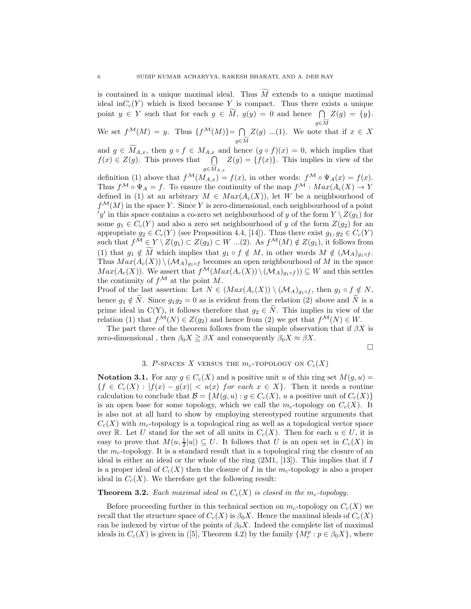is contained in a unique maximal ideal. Thus  $\tilde{M}$  extends to a unique maximal ideal in $C_c(Y)$  which is fixed because Y is compact. Thus there exists a unique point  $y \in Y$  such that for each  $g \in \widetilde{M}$ ,  $g(y) = 0$  and hence  $\bigcap$  $g\in \widetilde{M}$  $Z(g) = \{y\}.$ We set  $f^{\mathcal{M}}(M) = y$ . Thus  $\{f^{\mathcal{M}}(M)\} = \bigcap$ 

 $g\in \widetilde{M}$  $Z(g)$  ...(1). We note that if  $x \in X$ 

and  $g \in \widetilde{M}_{A,x}$ , then  $g \circ f \in M_{A,x}$  and hence  $(g \circ f)(x) = 0$ , which implies that  $f(x) \in Z(g)$ . This proves that  $\bigcap Z(g) = \{f(x)\}\.$  This implies in view of the  $g\in {\widetilde{M}}_{A,x}$ 

definition (1) above that  $f^{\mathcal{M}}(M_{A,x}) = f(x)$ , in other words:  $f^{\mathcal{M}} \circ \Psi_A(x) = f(x)$ . Thus  $f^{\mathcal{M}} \circ \Psi_A = f$ . To ensure the continuity of the map  $f^{\mathcal{M}} : Max(A_c(X) \to Y)$ defined in (1) at an arbitrary  $M \in Max(A_c(X))$ , let W be a neighbourhood of  $f^{\mathcal{M}}(M)$  in the space Y. Since Y is zero-dimensional, each neighbourhood of a point 'y' in this space contains a co-zero set neighbourhood of y of the form  $Y \setminus Z(g_1)$  for some  $g_1 \in C_c(Y)$  and also a zero set neighbourhood of y of the form  $Z(g_2)$  for an appropriate  $g_2 \in C_c(Y)$  (see Proposition 4.4, [14]). Thus there exist  $g_1, g_2 \in C_c(Y)$ such that  $f^{\mathcal{M}} \in Y \setminus Z(g_1) \subset Z(g_2) \subset W$  ...(2). As  $f^{\mathcal{M}}(M) \notin Z(g_1)$ , it follows from (1) that  $g_1 \notin \tilde{M}$  which implies that  $g_1 \circ f \notin M$ , in other words  $M \notin (\mathcal{M}_A)_{g_1 \circ f}$ . Thus  $Max(A_c(X)) \setminus (M_A)_{g_1 \circ f}$  becomes an open neighbourhood of M in the space  $Max(A_c(X))$ . We assert that  $f^{\mathcal{M}}(Max(A_c(X)) \setminus (\mathcal{M}_A)_{g_1 \circ f}) \subseteq W$  and this settles the continuity of  $f^{\mathcal{M}}$  at the point M.

Proof of the last assertion: Let  $N \in (Max(A_c(X)) \setminus (M_A)_{g_1 \circ f},$  then  $g_1 \circ f \notin N$ , hence  $g_1 \notin \tilde{N}$ . Since  $g_1 g_2 = 0$  as is evident from the relation (2) above and  $\tilde{N}$  is a prime ideal in C(Y), it follows therefore that  $g_2 \in \tilde{N}$ . This implies in view of the relation (1) that  $f^{\mathcal{M}}(N) \in Z(q_2)$  and hence from (2) we get that  $f^{\mathcal{M}}(N) \in W$ .

The part three of the theorem follows from the simple observation that if  $\beta X$  is zero-dimensional, then  $\beta_0 X \geq \beta X$  and consequently  $\beta_0 X \approx \beta X$ .

$$
\Box
$$

## 3. P-SPACES X VERSUS THE  $m_c$ -TOPOLOGY ON  $C_c(X)$

**Notation 3.1.** For any  $g \in C_c(X)$  and a positive unit u of this ring set  $M(g, u)$  =  ${f \in C_c(X) : |f(x) - g(x)| < u(x)$  for each  $x \in X}$ . Then it needs a routine calculation to conclude that  $\mathcal{B} = \{M(g, u) : g \in C_c(X), u$  a positive unit of  $C_c(X)\}$ is an open base for some topology, which we call the  $m_c$ -topology on  $C_c(X)$ . It is also not at all hard to show by employing stereotyped routine arguments that  $C_c(X)$  with  $m_c$ -topology is a topological ring as well as a topological vector space over R. Let U stand for the set of all units in  $C_c(X)$ . Then for each  $u \in U$ , it is easy to prove that  $M(u, \frac{1}{2}|u|) \subseteq U$ . It follows that U is an open set in  $C_c(X)$  in the  $m_c$ -topology. It is a standard result that in a topological ring the closure of an ideal is either an ideal or the whole of the ring  $(2M1, 13)$ . This implies that if I is a proper ideal of  $C_c(X)$  then the closure of I in the  $m_c$ -topology is also a proper ideal in  $C_c(X)$ . We therefore get the following result:

## **Theorem 3.2.** Each maximal ideal in  $C_c(X)$  is closed in the m<sub>c</sub>-topology.

Before proceeding further in this technical section on  $m_c$ -topology on  $C_c(X)$  we recall that the structure space of  $C_c(X)$  is  $\beta_0 X$ . Hence the maximal ideals of  $C_c(X)$ can be indexed by virtue of the points of  $\beta_0 X$ . Indeed the complete list of maximal ideals in  $C_c(X)$  is given in ([5], Theorem 4.2) by the family  $\{M_c^p : p \in \beta_0 X\}$ , where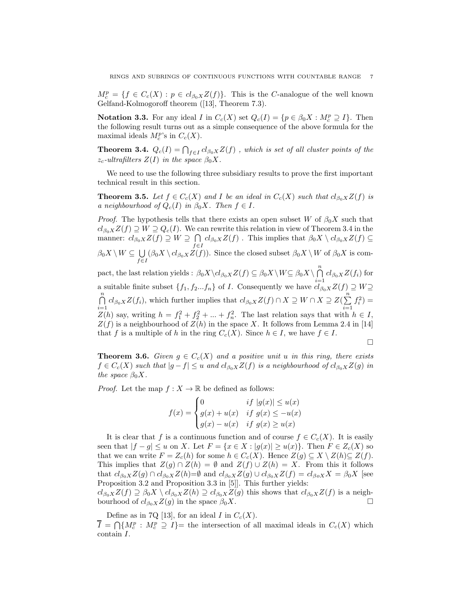$M_c^p = \{f \in C_c(X) : p \in cl_{\beta_0 X}Z(f)\}.$  This is the C-analogue of the well known Gelfand-Kolmogoroff theorem ([13], Theorem 7.3).

**Notation 3.3.** For any ideal I in  $C_c(X)$  set  $Q_c(I) = \{p \in \beta_0 X : M_c^p \supseteq I\}$ . Then the following result turns out as a simple consequence of the above formula for the maximal ideals  $M_c^p$ 's in  $C_c(X)$ .

**Theorem 3.4.**  $Q_c(I) = \bigcap_{f \in I} cl_{\beta_0 X} Z(f)$ , which is set of all cluster points of the  $z_c$ -ultrafilters  $Z(I)$  in the space  $\beta_0 X$ .

We need to use the following three subsidiary results to prove the first important technical result in this section.

**Theorem 3.5.** Let  $f \in C_c(X)$  and I be an ideal in  $C_c(X)$  such that  $cl_{\beta_0 X}Z(f)$  is a neighbourhood of  $Q_c(I)$  in  $\beta_0 X$ . Then  $f \in I$ .

*Proof.* The hypothesis tells that there exists an open subset W of  $\beta_0 X$  such that  $cl_{\beta_0 X}Z(f) \supseteq W \supseteq Q_c(I)$ . We can rewrite this relation in view of Theorem 3.4 in the manner:  $cl_{\beta_0X}Z(f) \supseteq W \supseteq \bigcap$  $\bigcap_{f\in I} cl_{\beta_0 X} Z(f)$ . This implies that  $\beta_0 X \setminus cl_{\beta_0 X} Z(f) \subseteq$  $\beta_0 X \setminus W \subseteq \bigcup$  $\bigcup_{f\in I} (\beta_0 X \setminus cl_{\beta_0 X} Z(f)).$  Since the closed subset  $\beta_0 X \setminus W$  of  $\beta_0 X$  is com-

pact, the last relation yields :  $\beta_0 X \backslash cl_{\beta_0 X} Z(f) \subseteq \beta_0 X \backslash W \subseteq \beta_0 X \backslash \bigcap_{i=1}^n cl_{\beta_0 X} Z(f_i)$  for a suitable finite subset  $\{f_1, f_2...f_n\}$  of *I*. Consequently we have  $cl_{\beta_0X}Z(f) \supseteq W \supseteq$  $\bigcap^n$  $\bigcap_{i=1}^n cl_{\beta_0 X} Z(f_i)$ , which further implies that  $cl_{\beta_0 X} Z(f) \cap X \supseteq W \cap X \supseteq Z(\sum_{i=1}^n C_i)$  $i=1$  $f_i^2$ ) =  $Z(h)$  say, writing  $h = f_1^2 + f_2^2 + \dots + f_n^2$ . The last relation says that with  $h \in I$ ,  $Z(f)$  is a neighbourhood of  $Z(h)$  in the space X. It follows from Lemma 2.4 in [14] that f is a multiple of h in the ring  $C_c(X)$ . Since  $h \in I$ , we have  $f \in I$ .

$$
\qquad \qquad \Box
$$

**Theorem 3.6.** Given  $g \in C_c(X)$  and a positive unit u in this ring, there exists  $f \in C_c(X)$  such that  $|g - f| \leq u$  and  $cl_{\beta_0 X} Z(f)$  is a neighbourhood of  $cl_{\beta_0 X} Z(g)$  in the space  $\beta_0 X$ .

*Proof.* Let the map  $f: X \to \mathbb{R}$  be defined as follows:

$$
f(x) = \begin{cases} 0 & \text{if } |g(x)| \le u(x) \\ g(x) + u(x) & \text{if } g(x) \le -u(x) \\ g(x) - u(x) & \text{if } g(x) \ge u(x) \end{cases}
$$

It is clear that f is a continuous function and of course  $f \in C_c(X)$ . It is easily seen that  $|f - g| \leq u$  on X. Let  $F = \{x \in X : |g(x)| \geq u(x)\}\$ . Then  $F \in Z_c(X)$  so that we can write  $F = Z_c(h)$  for some  $h \in C_c(X)$ . Hence  $Z(g) \subseteq X \setminus Z(h) \subseteq Z(f)$ . This implies that  $Z(g) \cap Z(h) = \emptyset$  and  $Z(f) \cup Z(h) = X$ . From this it follows that  $cl_{\beta_0 X}Z(g) \cap cl_{\beta_0 X}Z(h)=\emptyset$  and  $cl_{\beta_0 X}Z(g) \cup cl_{\beta_0 X}Z(f) = cl_{\beta_0 X}X = \beta_0 X$  [see Proposition 3.2 and Proposition 3.3 in [5]]. This further yields:

 $cl_{\beta_0X}Z(f) \supseteq \beta_0X \setminus cl_{\beta_0X}Z(h) \supseteq cl_{\beta_0X}Z(g)$  this shows that  $cl_{\beta_0X}Z(f)$  is a neighbourhood of  $cl_{\beta_0 X}Z(g)$  in the space  $\beta_0 X$ .

Define as in 7Q [13], for an ideal I in  $C_c(X)$ .  $\overline{I} = \bigcap \{M_c^p : M_c^p \supseteq I\}$  the intersection of all maximal ideals in  $C_c(X)$  which contain I.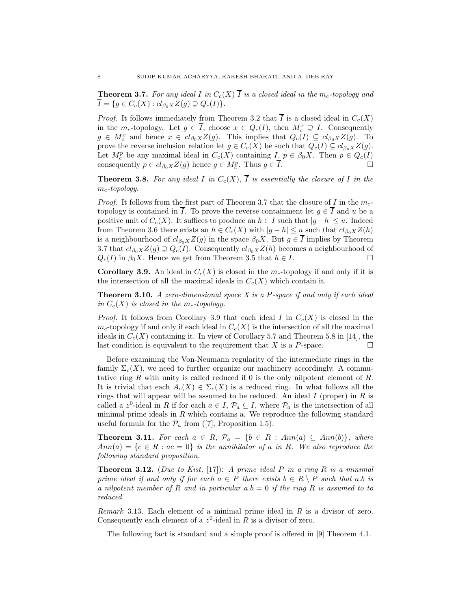**Theorem 3.7.** For any ideal I in  $C_c(X)$   $\overline{I}$  is a closed ideal in the  $m_c$ -topology and  $\overline{I} = \{g \in C_c(X) : cl_{\beta_0 X} Z(g) \supseteq Q_c(I) \}.$ 

*Proof.* It follows immediately from Theorem 3.2 that  $\overline{I}$  is a closed ideal in  $C_c(X)$ in the  $m_c$ -topology. Let  $g \in \overline{I}$ , choose  $x \in Q_c(I)$ , then  $M_c^x \supseteq I$ . Consequently  $g \in M_c^x$  and hence  $x \in cl_{\beta_0 X} Z(g)$ . This implies that  $Q_c(I) \subseteq cl_{\beta_0 X} Z(g)$ . To prove the reverse inclusion relation let  $g \in C_c(X)$  be such that  $Q_c(I) \subseteq cl_{\beta_0 X} Z(g)$ . Let  $M_c^p$  be any maximal ideal in  $C_c(X)$  containing  $I, p \in \beta_0 X$ . Then  $p \in Q_c(I)$ consequently  $p \in cl_{\beta_0 X} Z(g)$  hence  $g \in M_c^p$ . Thus  $g \in \overline{I}$ .

**Theorem 3.8.** For any ideal I in  $C_c(X)$ ,  $\overline{I}$  is essentially the closure of I in the  $m_c$ -topology.

*Proof.* It follows from the first part of Theorem 3.7 that the closure of I in the  $m_c$ topology is contained in  $\overline{I}$ . To prove the reverse containment let  $g \in \overline{I}$  and u be a positive unit of  $C_c(X)$ . It suffices to produce an  $h \in I$  such that  $|g-h| \leq u$ . Indeed from Theorem 3.6 there exists an  $h \in C_c(X)$  with  $|g-h| \le u$  such that  $cl_{\beta_0 X}Z(h)$ is a neighbourhood of  $cl_{\beta_0 X} Z(g)$  in the space  $\beta_0 X$ . But  $g \in I$  implies by Theorem 3.7 that  $cl_{\beta_0 X}Z(g) \supseteq Q_c(I)$ . Consequently  $cl_{\beta_0 X}Z(h)$  becomes a neighbourhood of  $Q_c(I)$  in  $\beta_0 X$ . Hence we get from Theorem 3.5 that  $h \in I$ .

**Corollary 3.9.** An ideal in  $C_c(X)$  is closed in the  $m_c$ -topology if and only if it is the intersection of all the maximal ideals in  $C_c(X)$  which contain it.

**Theorem 3.10.** A zero-dimensional space  $X$  is a P-space if and only if each ideal in  $C_c(X)$  is closed in the m<sub>c</sub>-topology.

*Proof.* It follows from Corollary 3.9 that each ideal I in  $C_c(X)$  is closed in the  $m_c$ -topology if and only if each ideal in  $C_c(X)$  is the intersection of all the maximal ideals in  $C_c(X)$  containing it. In view of Corollary 5.7 and Theorem 5.8 in [14], the last condition is equivalent to the requirement that X is a P-space.  $\Box$ 

Before examining the Von-Neumann regularity of the intermediate rings in the family  $\Sigma_c(X)$ , we need to further organize our machinery accordingly. A commutative ring R with unity is called reduced if 0 is the only nilpotent element of R. It is trivial that each  $A_c(X) \in \Sigma_c(X)$  is a reduced ring. In what follows all the rings that will appear will be assumed to be reduced. An ideal  $I$  (proper) in  $R$  is called a z<sup>0</sup>-ideal in R if for each  $a \in I$ ,  $\mathcal{P}_a \subseteq I$ , where  $\mathcal{P}_a$  is the intersection of all minimal prime ideals in  $R$  which contains a. We reproduce the following standard useful formula for the  $\mathcal{P}_a$  from ([7], Proposition 1.5).

**Theorem 3.11.** For each  $a \in R$ ,  $\mathcal{P}_a = \{b \in R : Ann(a) \subseteq Ann(b)\},$  where  $Ann(a) = \{c \in R : ac = 0\}$  is the annihilator of a in R. We also reproduce the following standard proposition.

**Theorem 3.12.** (Due to Kist, [17]): A prime ideal P in a ring R is a minimal prime ideal if and only if for each  $a \in P$  there exists  $b \in R \setminus P$  such that a.b is a nilpotent member of R and in particular  $a.b = 0$  if the ring R is assumed to to reduced.

*Remark* 3.13. Each element of a minimal prime ideal in  $R$  is a divisor of zero. Consequently each element of a  $z^0$ -ideal in R is a divisor of zero.

The following fact is standard and a simple proof is offered in [9] Theorem 4.1.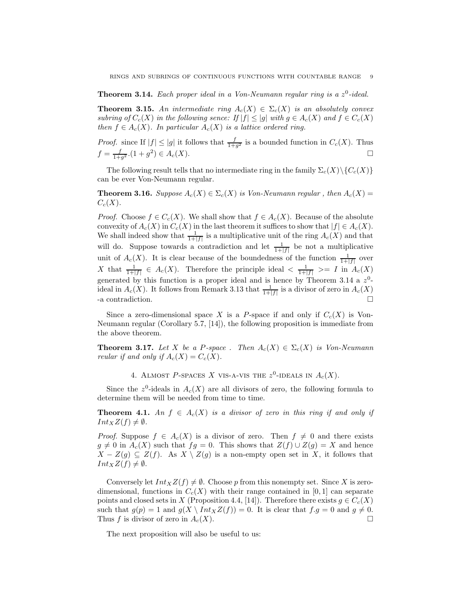**Theorem 3.14.** Each proper ideal in a Von-Neumann regular ring is a  $z^0$ -ideal.

**Theorem 3.15.** An intermediate ring  $A_c(X) \in \Sigma_c(X)$  is an absolutely convex subring of  $C_c(X)$  in the following sence: If  $|f| \le |g|$  with  $g \in A_c(X)$  and  $f \in C_c(X)$ then  $f \in A_c(X)$ . In particular  $A_c(X)$  is a lattice ordered ring.

*Proof.* since If  $|f| \le |g|$  it follows that  $\frac{f}{1+g^2}$  is a bounded function in  $C_c(X)$ . Thus  $f = \frac{f}{1+g^2}$ .  $(1+g^2) \in A_c(X)$ .

The following result tells that no intermediate ring in the family  $\Sigma_c(X)\setminus\{C_c(X)\}$ can be ever Von-Neumann regular.

**Theorem 3.16.** Suppose  $A_c(X) \in \Sigma_c(X)$  is Von-Neumann regular, then  $A_c(X)$  =  $C_c(X)$ .

*Proof.* Choose  $f \in C_c(X)$ . We shall show that  $f \in A_c(X)$ . Because of the absolute convexity of  $A_c(X)$  in  $C_c(X)$  in the last theorem it suffices to show that  $|f| \in A_c(X)$ . We shall indeed show that  $\frac{1}{1+|f|}$  is a multiplicative unit of the ring  $A_c(X)$  and that will do. Suppose towards a contradiction and let  $\frac{1}{1+|f|}$  be not a multiplicative unit of  $A_c(X)$ . It is clear because of the boundedness of the function  $\frac{1}{1+|f|}$  over X that  $\frac{1}{1+|f|} \in A_c(X)$ . Therefore the principle ideal  $\langle \frac{1}{1+|f|} \rangle = I$  in  $A_c(X)$ generated by this function is a proper ideal and is hence by Theorem 3.14 a  $z^0$ ideal in  $A_c(X)$ . It follows from Remark 3.13 that  $\frac{1}{1+|f|}$  is a divisor of zero in  $A_c(X)$ -a contradiction.

Since a zero-dimensional space X is a P-space if and only if  $C_c(X)$  is Von-Neumann regular (Corollary 5.7, [14]), the following proposition is immediate from the above theorem.

**Theorem 3.17.** Let X be a P-space . Then  $A_c(X) \in \Sigma_c(X)$  is Von-Neumann reular if and only if  $A_c(X) = C_c(X)$ .

4. ALMOST P-SPACES X VIS-A-VIS THE  $z^0$ -IDEALS IN  $A_c(X)$ .

Since the  $z^0$ -ideals in  $A_c(X)$  are all divisors of zero, the following formula to determine them will be needed from time to time.

**Theorem 4.1.** An  $f \in A_c(X)$  is a divisor of zero in this ring if and only if  $Int_XZ(f) \neq \emptyset$ .

*Proof.* Suppose  $f \in A_c(X)$  is a divisor of zero. Then  $f \neq 0$  and there exists  $g \neq 0$  in  $A_c(X)$  such that  $fg = 0$ . This shows that  $Z(f) \cup Z(g) = X$  and hence  $X - Z(g) \subseteq Z(f)$ . As  $X \setminus Z(g)$  is a non-empty open set in X, it follows that  $Int_XZ(f) \neq \emptyset$ .

Conversely let  $Int_XZ(f) \neq \emptyset$ . Choose p from this nonempty set. Since X is zerodimensional, functions in  $C_c(X)$  with their range contained in [0, 1] can separate points and closed sets in X (Proposition 4.4, [14]). Therefore there exists  $g \in C_c(X)$ such that  $g(p) = 1$  and  $g(X \setminus Int_X Z(f)) = 0$ . It is clear that  $f.g = 0$  and  $g \neq 0$ . Thus f is divisor of zero in  $A_c(X)$ .

The next proposition will also be useful to us: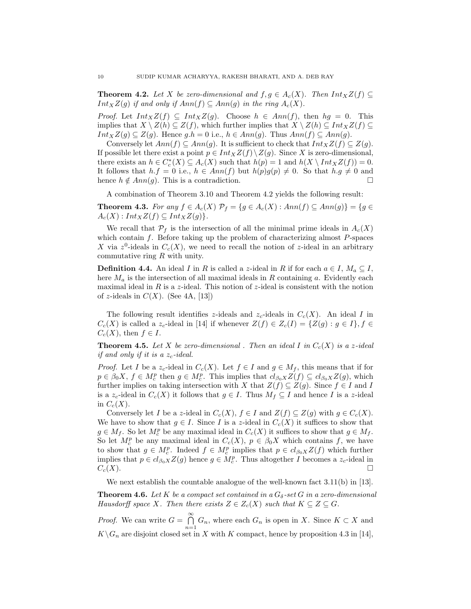**Theorem 4.2.** Let X be zero-dimensional and  $f, g \in A_c(X)$ . Then  $Int_X Z(f) \subseteq$  $Int_XZ(g)$  if and only if  $Ann(f) \subseteq Ann(g)$  in the ring  $A_c(X)$ .

*Proof.* Let  $Int_XZ(f) \subseteq Int_XZ(g)$ . Choose  $h \in Ann(f)$ , then  $hg = 0$ . This implies that  $X \setminus Z(h) \subseteq Z(f)$ , which further implies that  $X \setminus Z(h) \subseteq Int_X Z(f) \subseteq$  $Int_XZ(g) \subseteq Z(g)$ . Hence g.h = 0 i.e.,  $h \in Ann(g)$ . Thus  $Ann(f) \subseteq Ann(g)$ .

Conversely let  $Ann(f) \subseteq Ann(g)$ . It is sufficient to check that  $Int_X Z(f) \subseteq Z(g)$ . If possible let there exist a point  $p \in Int_X Z(f) \setminus Z(g)$ . Since X is zero-dimensional, there exists an  $h \in C_c^*(X) \subseteq A_c(X)$  such that  $h(p) = 1$  and  $h(X \setminus Int_X Z(f)) = 0$ . It follows that  $h.f = 0$  i.e.,  $h \in Ann(f)$  but  $h(p)g(p) \neq 0$ . So that  $h.g \neq 0$  and hence  $h \notin Ann(q)$ . This is a contradiction.

A combination of Theorem 3.10 and Theorem 4.2 yields the following result:

**Theorem 4.3.** For any  $f \in A_c(X)$   $\mathcal{P}_f = \{g \in A_c(X) : Ann(f) \subseteq Ann(g)\} = \{g \in A_c(X) : Ann(f) \subseteq Ann(g)\}$  $A_c(X)$ :  $Int_XZ(f) \subseteq Int_XZ(g)$ .

We recall that  $\mathcal{P}_f$  is the intersection of all the minimal prime ideals in  $A_c(X)$ which contain  $f$ . Before taking up the problem of characterizing almost  $P$ -spaces X via  $z^0$ -ideals in  $C_c(X)$ , we need to recall the notion of z-ideal in an arbitrary commutative ring R with unity.

**Definition 4.4.** An ideal I in R is called a z-ideal in R if for each  $a \in I$ ,  $M_a \subseteq I$ , here  $M_a$  is the intersection of all maximal ideals in R containing a. Evidently each maximal ideal in R is a z-ideal. This notion of z-ideal is consistent with the notion of z-ideals in  $C(X)$ . (See 4A, [13])

The following result identifies z-ideals and  $z_c$ -ideals in  $C_c(X)$ . An ideal I in  $C_c(X)$  is called a z<sub>c</sub>-ideal in [14] if whenever  $Z(f) \in Z_c(I) = \{Z(g) : g \in I\}, f \in$  $C_c(X)$ , then  $f \in I$ .

**Theorem 4.5.** Let X be zero-dimensional . Then an ideal I in  $C_c(X)$  is a z-ideal if and only if it is a  $z_c$ -ideal.

*Proof.* Let I be a  $z_c$ -ideal in  $C_c(X)$ . Let  $f \in I$  and  $g \in M_f$ , this means that if for  $p \in \beta_0 X$ ,  $f \in M_c^p$  then  $g \in M_c^p$ . This implies that  $cl_{\beta_0 X}Z(f) \subseteq cl_{\beta_0 X}Z(g)$ , which further implies on taking intersection with X that  $Z(f) \subseteq Z(g)$ . Since  $f \in I$  and I is a  $z_c$ -ideal in  $C_c(X)$  it follows that  $g \in I$ . Thus  $M_f \subseteq I$  and hence I is a z-ideal in  $C_c(X)$ .

Conversely let I be a z-ideal in  $C_c(X)$ ,  $f \in I$  and  $Z(f) \subseteq Z(g)$  with  $g \in C_c(X)$ . We have to show that  $g \in I$ . Since I is a z-ideal in  $C_c(X)$  it suffices to show that  $g \in M_f$ . So let  $M_c^p$  be any maximal ideal in  $C_c(X)$  it suffices to show that  $g \in M_f$ . So let  $M_c^p$  be any maximal ideal in  $C_c(X)$ ,  $p \in \beta_0 X$  which contains f, we have to show that  $g \in M_c^p$ . Indeed  $f \in M_c^p$  implies that  $p \in cl_{\beta_0 X} Z(f)$  which further implies that  $p \in cl_{\beta_0 X} Z(g)$  hence  $g \in M_c^p$ . Thus altogether I becomes a  $z_c$ -ideal in  $C_c(X)$ .

We next establish the countable analogue of the well-known fact  $3.11(b)$  in [13].

**Theorem 4.6.** Let K be a compact set contained in a  $G_{\delta}$ -set G in a zero-dimensional Hausdorff space X. Then there exists  $Z \in Z_c(X)$  such that  $K \subseteq Z \subseteq G$ .

*Proof.* We can write  $G = \bigcap^{\infty}$  $\bigcap_{n=1} G_n$ , where each  $G_n$  is open in X. Since  $K \subset X$  and  $K\backslash G_n$  are disjoint closed set in X with K compact, hence by proposition 4.3 in [14],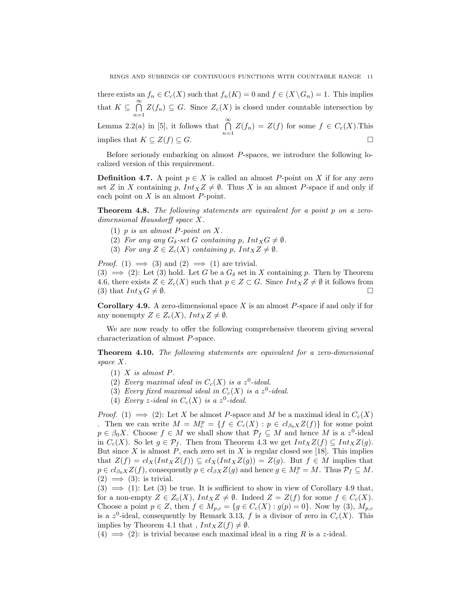there exists an  $f_n \in C_c(X)$  such that  $f_n(K) = 0$  and  $f \in (X \backslash G_n) = 1$ . This implies that  $K \subseteq \bigcap^{\infty}$  $\bigcap_{n=1} Z(f_n) \subseteq G$ . Since  $Z_c(X)$  is closed under countable intersection by Lemma 2.2(a) in [5], it follows that  $\bigcap_{n=1}^{\infty} Z(f_n) = Z(f)$  for some  $f \in C_c(X)$ . This implies that  $K \subseteq Z(f) \subseteq G$ .

Before seriously embarking on almost P-spaces, we introduce the following localized version of this requirement.

**Definition 4.7.** A point  $p \in X$  is called an almost P-point on X if for any zero set Z in X containing p,  $Int_X Z \neq \emptyset$ . Thus X is an almost P-space if and only if each point on  $X$  is an almost  $P$ -point.

**Theorem 4.8.** The following statements are equivalent for a point  $p$  on a zerodimensional Hausdorff space X.

- (1)  $p$  is an almost  $P$ -point on  $X$ .
- (2) For any any  $G_{\delta}$ -set G containing p,  $Int_X G \neq \emptyset$ .
- (3) For any  $Z \in Z_c(X)$  containing p,  $Int_X Z \neq \emptyset$ .

*Proof.* (1)  $\implies$  (3) and (2)  $\implies$  (1) are trivial.  $(3) \implies (2)$ : Let  $(3)$  hold. Let G be a  $G_{\delta}$  set in X containing p. Then by Theorem 4.6, there exists  $Z \in Z_c(X)$  such that  $p \in Z \subset G$ . Since  $Int_X Z \neq \emptyset$  it follows from

**Corollary 4.9.** A zero-dimensional space  $X$  is an almost  $P$ -space if and only if for any nonempty  $Z \in Z_c(X)$ ,  $Int_X Z \neq \emptyset$ .

(3) that  $Int_X G \neq \emptyset$ .

We are now ready to offer the following comprehensive theorem giving several characterization of almost P-space.

**Theorem 4.10.** The following statements are equivalent for a zero-dimensional space X.

- $(1)$  X is almost P.
- (2) Every maximal ideal in  $C_c(X)$  is a  $z^0$ -ideal.
- (3) Every fixed maximal ideal in  $C_c(X)$  is a  $z^0$ -ideal.
- (4) Every z-ideal in  $C_c(X)$  is a z<sup>0</sup>-ideal.

*Proof.* (1)  $\implies$  (2): Let X be almost P-space and M be a maximal ideal in  $C_c(X)$ . Then we can write  $M = M_c^p = \{f \in C_c(X) : p \in cl_{\beta_0 X} Z(f)\}\$  for some point  $p \in \beta_0 X$ . Choose  $f \in M$  we shall show that  $\mathcal{P}_f \subseteq M$  and hence M is a z<sup>0</sup>-ideal in  $C_c(X)$ . So let  $g \in \mathcal{P}_f$ . Then from Theorem 4.3 we get  $Int_X Z(f) \subseteq Int_X Z(g)$ . But since X is almost  $P$ , each zero set in X is regular closed see [18]. This implies that  $Z(f) = cl_X(Int_X Z(f)) \subseteq cl_X(Int_X Z(g)) = Z(g)$ . But  $f \in M$  implies that  $p \in cl_{\beta_0 X} Z(f)$ , consequently  $p \in cl_{\beta X} Z(g)$  and hence  $g \in M_c^p = M$ . Thus  $\mathcal{P}_f \subseteq M$ .  $(2) \implies (3)$ : is trivial.

 $(3) \implies (1)$ : Let  $(3)$  be true. It is sufficient to show in view of Corollary 4.9 that, for a non-empty  $Z \in Z_c(X)$ ,  $Int_X Z \neq \emptyset$ . Indeed  $Z = Z(f)$  for some  $f \in C_c(X)$ . Choose a point  $p \in Z$ , then  $f \in M_{p,c} = \{g \in C_c(X) : g(p) = 0\}$ . Now by (3),  $M_{p,c}$ is a  $z^0$ -ideal, consequently by Remark 3.13, f is a divisor of zero in  $C_c(X)$ . This implies by Theorem 4.1 that,  $Int_XZ(f) \neq \emptyset$ .

(4)  $\implies$  (2): is trivial because each maximal ideal in a ring R is a z-ideal.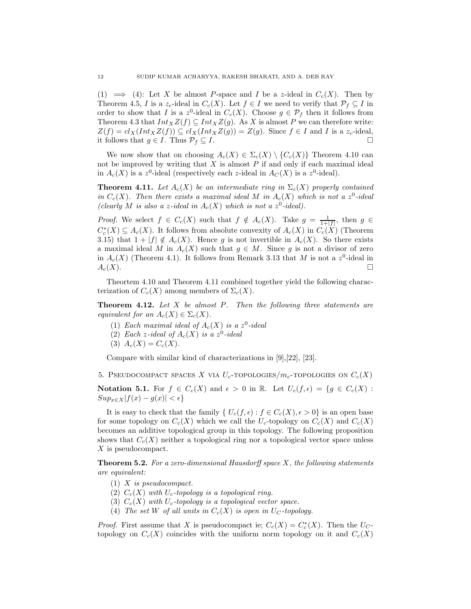(1)  $\implies$  (4): Let X be almost P-space and I be a z-ideal in  $C_c(X)$ . Then by Theorem 4.5, I is a  $z_c$ -ideal in  $C_c(X)$ . Let  $f \in I$  we need to verify that  $\mathcal{P}_f \subseteq I$  in order to show that I is a z<sup>0</sup>-ideal in  $C_c(X)$ . Choose  $g \in \mathcal{P}_f$  then it follows from Theorem 4.3 that  $Int_XZ(f) \subseteq Int_XZ(g)$ . As X is almost P we can therefore write:  $Z(f) = cl_X(Int_X Z(f)) \subseteq cl_X(Int_X Z(g)) = Z(g)$ . Since  $f \in I$  and I is a  $z_c$ -ideal, it follows that  $g \in I$ . Thus  $\mathcal{P}_f \subseteq I$ .

We now show that on choosing  $A_c(X) \in \Sigma_c(X) \setminus \{C_c(X)\}\$  Theorem 4.10 can not be improved by writing that  $X$  is almost  $P$  if and only if each maximal ideal in  $A_c(X)$  is a z<sup>0</sup>-ideal (respectively each z-ideal in  $A_c(X)$  is a z<sup>0</sup>-ideal).

**Theorem 4.11.** Let  $A_c(X)$  be an intermediate ring in  $\Sigma_c(X)$  properly contained in  $C_c(X)$ . Then there exists a maximal ideal M in  $A_c(X)$  which is not a  $z^0$ -ideal (clearly M is also a z-ideal in  $A_c(X)$  which is not a  $z^0$ -ideal).

*Proof.* We select  $f \in C_c(X)$  such that  $f \notin A_c(X)$ . Take  $g = \frac{1}{1+|f|}$ , then  $g \in$  $C_c^*(X) \subseteq A_c(X)$ . It follows from absolute convexity of  $A_c(X)$  in  $C_c(X)$  (Theorem 3.15) that  $1 + |f| \notin A_c(X)$ . Hence g is not invertible in  $A_c(X)$ . So there exists a maximal ideal M in  $A_c(X)$  such that  $g \in M$ . Since g is not a divisor of zero in  $A_c(X)$  (Theorem 4.1). It follows from Remark 3.13 that M is not a  $z^0$ -ideal in  $A_c(X)$ .

Theortem 4.10 and Theorem 4.11 combined together yield the following characterization of  $C_c(X)$  among members of  $\Sigma_c(X)$ .

**Theorem 4.12.** Let  $X$  be almost  $P$ . Then the following three statements are equivalent for an  $A_c(X) \in \Sigma_c(X)$ .

- (1) Each maximal ideal of  $A_c(X)$  is a  $z^0$ -ideal
- (2) Each z-ideal of  $A_c(X)$  is a z<sup>0</sup>-ideal
- (3)  $A_c(X) = C_c(X)$ .

Compare with similar kind of characterizations in [9],[22], [23].

5. PSEUDOCOMPACT SPACES X VIA  $U_c$ -topologies/m<sub>c</sub>-topologies on  $C_c(X)$ 

Notation 5.1. For  $f \in C_c(X)$  and  $\epsilon > 0$  in R. Let  $U_c(f, \epsilon) = \{g \in C_c(X)$ :  $Sup_{x\in X}|f(x)-g(x)|<\epsilon$ 

It is easy to check that the family {  $U_c(f, \epsilon) : f \in C_c(X), \epsilon > 0$ } is an open base for some topology on  $C_c(X)$  which we call the  $U_c$ -topology on  $C_c(X)$  and  $C_c(X)$ becomes an additive topological group in this topology. The following proposition shows that  $C_c(X)$  neither a topological ring nor a topological vector space unless X is pseudocompact.

**Theorem 5.2.** For a zero-dimensional Hausdorff space  $X$ , the following statements are equivalent:

- (1) X is pseudocompact.
- (2)  $C_c(X)$  with  $U_c$ -topology is a topological ring.
- (3)  $C_c(X)$  with  $U_c$ -topology is a topological vector space.
- (4) The set W of all units in  $C_c(X)$  is open in  $U_c$ -topology.

*Proof.* First assume that X is pseudocompact ie;  $C_c(X) = C_c^*(X)$ . Then the  $U_C$ topology on  $C_c(X)$  coincides with the uniform norm topology on it and  $C_c(X)$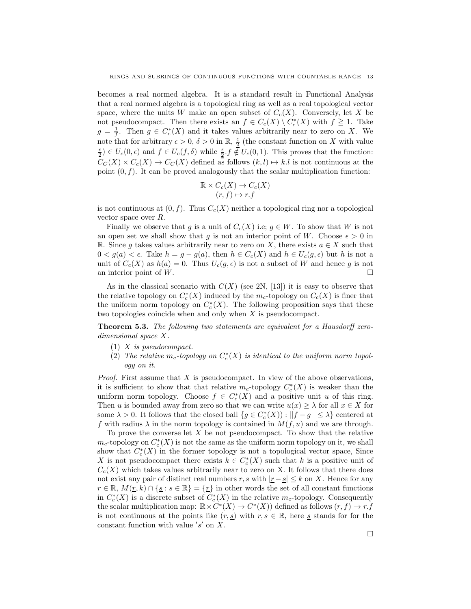becomes a real normed algebra. It is a standard result in Functional Analysis that a real normed algebra is a topological ring as well as a real topological vector space, where the units W make an open subset of  $C_c(X)$ . Conversely, let X be not pseudocompact. Then there exists an  $f \in C_c(X) \setminus C_c^*(X)$  with  $f \geq 1$ . Take  $g = \frac{1}{f}$ . Then  $g \in C_c^*(X)$  and it takes values arbitrarily near to zero on X. We note that for arbitrary  $\epsilon > 0$ ,  $\delta > 0$  in  $\mathbb{R}$ ,  $\frac{\epsilon}{2}$  (the constant function on X with value  $\frac{\epsilon}{2} \in U_c(0, \epsilon)$  and  $f \in U_c(f, \delta)$  while  $\frac{\epsilon}{2} f \notin U_c(0, 1)$ . This proves that the function:  $C_C(X) \times C_c(X) \to C_C(X)$  defined as follows  $(k, l) \to k.l$  is not continuous at the point  $(0, f)$ . It can be proved analogously that the scalar multiplication function:

$$
\mathbb{R} \times C_c(X) \to C_c(X) (r, f) \mapsto r.f
$$

is not continuous at  $(0, f)$ . Thus  $C_c(X)$  neither a topological ring nor a topological vector space over R.

Finally we observe that g is a unit of  $C_c(X)$  i.e;  $g \in W$ . To show that W is not an open set we shall show that g is not an interior point of W. Choose  $\epsilon > 0$  in R. Since g takes values arbitrarily near to zero on X, there exists  $a \in X$  such that  $0 < g(a) < \epsilon$ . Take  $h = g - g(a)$ , then  $h \in C_c(X)$  and  $h \in U_c(g, \epsilon)$  but h is not a unit of  $C_c(X)$  as  $h(a) = 0$ . Thus  $U_c(g, \epsilon)$  is not a subset of W and hence g is not an interior point of W.

As in the classical scenario with  $C(X)$  (see 2N, [13]) it is easy to observe that the relative topology on  $C_c^*(X)$  induced by the  $m_c$ -topology on  $C_c(X)$  is finer that the uniform norm topology on  $C_c^*(X)$ . The following proposition says that these two topologies coincide when and only when X is pseudocompact.

Theorem 5.3. The following two statements are equivalent for a Hausdorff zerodimensional space X.

- (1) X is pseudocompact.
- (2) The relative  $m_c$ -topology on  $C_c^*(X)$  is identical to the uniform norm topology on it.

*Proof.* First assume that  $X$  is pseudocompact. In view of the above observations, it is sufficient to show that that relative  $m_c$ -topology  $C_c^*(X)$  is weaker than the uniform norm topology. Choose  $f \in C_c^*(X)$  and a positive unit u of this ring. Then u is bounded away from zero so that we can write  $u(x) \geq \lambda$  for all  $x \in X$  for some  $\lambda > 0$ . It follows that the closed ball  $\{g \in C_c^*(X)) : ||f - g|| \leq \lambda\}$  centered at f with radius  $\lambda$  in the norm topology is contained in  $M(f, u)$  and we are through.

To prove the converse let  $X$  be not pseudocompact. To show that the relative  $m_c$ -topology on  $C_c^*(X)$  is not the same as the uniform norm topology on it, we shall show that  $C_c^*(X)$  in the former topology is not a topological vector space, Since X is not pseudocompact there exists  $k \in C_c^*(X)$  such that k is a positive unit of  $C_c(X)$  which takes values arbitrarily near to zero on X. It follows that there does not exist any pair of distinct real numbers r, s with  $|\underline{r} - \underline{s}| \leq k$  on X. Hence for any  $r \in \mathbb{R}, M(r, k) \cap \{s : s \in \mathbb{R}\} = \{r\}$  in other words the set of all constant functions in  $C_c^*(X)$  is a discrete subset of  $C_c^*(X)$  in the relative  $m_c$ -topology. Consequently the scalar multiplication map:  $\mathbb{R} \times C^*(X) \to C^*(X)$  defined as follows  $(r, f) \to r.f$ is not continuous at the points like  $(r, s)$  with  $r, s \in \mathbb{R}$ , here s stands for for the constant function with value  $'s'$  on  $X$ .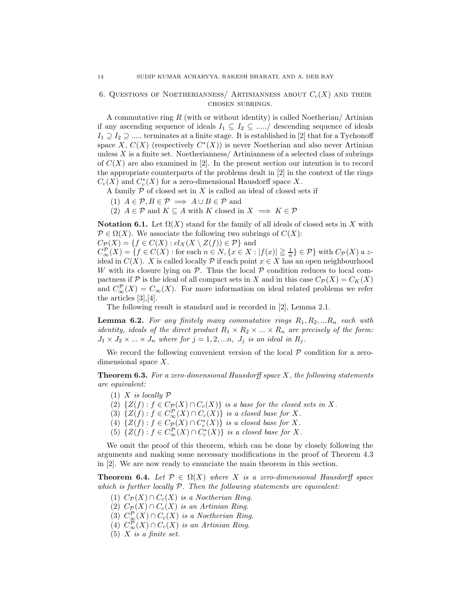### 6. QUESTIONS OF NOETHERIANNESS/ARTINIANNESS ABOUT  $C_c(X)$  and their chosen subrings.

A commutative ring  $R$  (with or without identity) is called Noetherian/Artinian if any ascending sequence of ideals  $I_1 \subseteq I_2 \subseteq \dots \subseteq I_n$  descending sequence of ideals  $I_1 \supseteq I_2 \supseteq \dots$  terminates at a finite stage. It is established in [2] that for a Tychonoff space X,  $C(X)$  (respectively  $C^*(X)$ ) is never Noetherian and also never Artinian unless  $X$  is a finite set. Noetherianness  $/$  Artinianness of a selected class of subrings of  $C(X)$  are also examined in [2]. In the present section our intention is to record the appropriate counterparts of the problems dealt in [2] in the context of the rings  $C_c(X)$  and  $C_c^*(X)$  for a zero-dimensional Hausdorff space X.

A family  $P$  of closed set in  $X$  is called an ideal of closed sets if

- (1)  $A \in \mathcal{P}, B \in \mathcal{P} \implies A \cup B \in \mathcal{P}$  and
- (2)  $A \in \mathcal{P}$  and  $K \subseteq A$  with K closed in  $X \implies K \in \mathcal{P}$

Notation 6.1. Let  $\Omega(X)$  stand for the family of all ideals of closed sets in X with  $\mathcal{P} \in \Omega(X)$ . We associate the following two subrings of  $C(X)$ :

 $C_{\mathcal{P}}(X) = \{f \in C(X) : cl_X(X \setminus Z(f)) \in \mathcal{P}\}\$ and

 $C_{\infty}^{\mathcal{P}}(X) = \{f \in C(X) : \text{for each } n \in \mathbb{N}, \{x \in X : |f(x)| \geq \frac{1}{n}\} \in \mathcal{P}\}\$  with  $C_{\mathcal{P}}(X)$  a zideal in  $C(X)$ . X is called locally P if each point  $x \in X$  has an open neighbourhood W with its closure lying on  $P$ . Thus the local  $P$  condition reduces to local compactness if P is the ideal of all compact sets in X and in this case  $C_{\mathcal{P}}(X) = C_K(X)$ and  $C_{\infty}^{\mathcal{P}}(X) = C_{\infty}(X)$ . For more information on ideal related problems we refer the articles [3],[4].

The following result is standard and is recorded in [2], Lemma 2.1.

**Lemma 6.2.** For any finitely many commutative rings  $R_1, R_2, ... R_n$  each with identity, ideals of the direct product  $R_1 \times R_2 \times ... \times R_n$  are precisely of the form:  $J_1 \times J_2 \times ... \times J_n$  where for  $j = 1, 2, ...n$ ,  $J_j$  is an ideal in  $R_j$ .

We record the following convenient version of the local  $P$  condition for a zerodimensional space X.

**Theorem 6.3.** For a zero-dimensional Hausdorff space  $X$ , the following statements are equivalent:

- $(1)$  X is locally  $\mathcal P$
- (2)  $\{Z(f) : f \in C_{\mathcal{P}}(X) \cap C_c(X)\}\$ is a base for the closed sets in X.
- (3)  $\{Z(f) : f \in C^{\mathcal{P}}_{\infty}(X) \cap C_c(X)\}$  is a closed base for X.
- (4)  $\{Z(f) : f \in C_{\mathcal{P}}(X) \cap C_c^*(X)\}$  is a closed base for X.
- (5)  $\{Z(f) : f \in C^{\mathcal{P}}_{\infty}(X) \cap C_c^*(X)\}\$ is a closed base for X.

We omit the proof of this theorem, which can be done by closely following the arguments and making some necessary modifications in the proof of Theorem 4.3 in [2]. We are now ready to enunciate the main theorem in this section.

**Theorem 6.4.** Let  $\mathcal{P} \in \Omega(X)$  where X is a zero-dimensional Hausdorff space which is further locally  $P$ . Then the following statements are equivalent:

- (1)  $C_{\mathcal{P}}(X) \cap C_c(X)$  is a Noetherian Ring.
- (2)  $C_{\mathcal{P}}(X) \cap C_c(X)$  is an Artinian Ring.
- (3)  $C_{\infty}^{\mathcal{P}}(X) \cap C_c(X)$  is a Noetherian Ring.
- (4)  $C_{\infty}^{\mathcal{P}}(X) \cap C_c(X)$  is an Artinian Ring.
- (5)  $X$  is a finite set.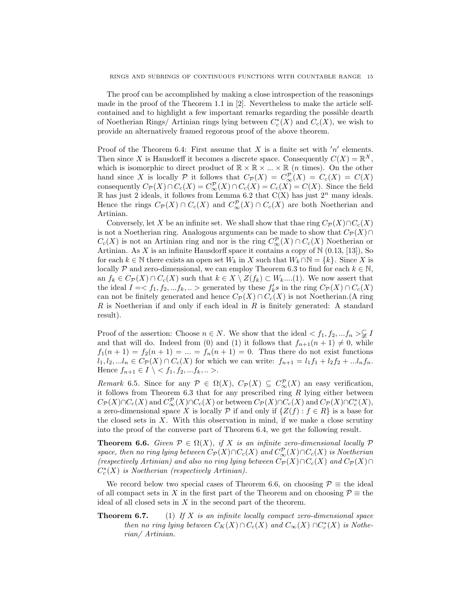The proof can be accomplished by making a close introspection of the reasonings made in the proof of the Theorem 1.1 in [2]. Nevertheless to make the article selfcontained and to highlight a few important remarks regarding the possible dearth of Noetherian Rings/ Artinian rings lying between  $C_c^*(X)$  and  $C_c(X)$ , we wish to provide an alternatively framed regorous proof of the above theorem.

Proof of the Theorem 6.4: First assume that  $X$  is a finite set with  $'n'$  elements. Then since X is Hausdorff it becomes a discrete space. Consequently  $C(X) = \mathbb{R}^X$ , which is isomorphic to direct product of  $\mathbb{R} \times \mathbb{R} \times ... \times \mathbb{R}$  (*n* times). On the other hand since X is locally P it follows that  $C_{\mathcal{P}}(X) = C_{\infty}^{\mathcal{P}}(X) = C_c(X) = C(X)$ consequently  $C_{\mathcal{P}}(X) \cap C_c(X) = C_{\infty}^{\mathcal{P}}(X) \cap C_c(X) = C_c(X) = C(X)$ . Since the field R has just 2 ideals, it follows from Lemma 6.2 that  $C(X)$  has just  $2^n$  many ideals. Hence the rings  $C_{\mathcal{P}}(X) \cap C_c(X)$  and  $C_{\infty}^{\mathcal{P}}(X) \cap C_c(X)$  are both Noetherian and Artinian.

Conversely, let X be an infinite set. We shall show that thae ring  $C_{\mathcal{P}}(X) \cap C_c(X)$ is not a Noetherian ring. Analogous arguments can be made to show that  $C_{\mathcal{P}}(X) \cap$  $C_c(X)$  is not an Artinian ring and nor is the ring  $C_{\infty}^{\mathcal{P}}(X) \cap C_c(X)$  Noetherian or Artinian. As X is an infinite Hausdorff space it contains a copy of  $\mathbb{N}$  (0.13, [13]), So for each  $k \in \mathbb{N}$  there exists an open set  $W_k$  in X such that  $W_k \cap \mathbb{N} = \{k\}$ . Since X is locally P and zero-dimensional, we can employ Theorem 6.3 to find for each  $k \in \mathbb{N}$ , an  $f_k \in C_{\mathcal{P}}(X) \cap C_c(X)$  such that  $k \in X \setminus Z(f_k) \subset W_k$ ....(1). We now assert that the ideal  $I = \langle f_1, f_2, ... f_k, ...\rangle$  generated by these  $f'_k s$  in the ring  $C_{\mathcal{P}}(X) \cap C_c(X)$ can not be finitely generated and hence  $C_{\mathcal{P}}(X) \cap C_c(X)$  is not Noetherian.(A ring R is Noetherian if and only if each ideal in R is finitely generated: A standard result).

Proof of the assertion: Choose  $n \in N$ . We show that the ideal  $\langle f_1, f_2, ... f_n \rangle \subsetneq I$ and that will do. Indeed from (0) and (1) it follows that  $f_{n+1}(n+1) \neq 0$ , while  $f_1(n + 1) = f_2(n + 1) = ... = f_n(n + 1) = 0$ . Thus there do not exist functions  $l_1, l_2, ... l_n \in C_{\mathcal{P}}(X) \cap C_c(X)$  for which we can write:  $f_{n+1} = l_1 f_1 + l_2 f_2 + ... l_n f_n$ . Hence  $f_{n+1} \in I \setminus \langle f_1, f_2, ... f_k, ... \rangle$ .

Remark 6.5. Since for any  $P \in \Omega(X)$ ,  $C_{\mathcal{P}}(X) \subseteq C_{\infty}^{\mathcal{P}}(X)$  an easy verification, it follows from Theorem  $6.3$  that for any prescribed ring  $R$  lying either between  $C_{\mathcal{P}}(X) \cap C_c(X)$  and  $C_{\infty}^{\mathcal{P}}(X) \cap C_c(X)$  or between  $C_{\mathcal{P}}(X) \cap C_c(X)$  and  $C_{\mathcal{P}}(X) \cap C_c^*(X)$ , a zero-dimensional space X is locally P if and only if  $\{Z(f) : f \in R\}$  is a base for the closed sets in  $X$ . With this observation in mind, if we make a close scrutiny into the proof of the converse part of Theorem 6.4, we get the following result.

**Theorem 6.6.** Given  $P \in \Omega(X)$ , if X is an infinite zero-dimensional locally  $P$ space, then no ring lying between  $C_{\mathcal{P}}(X) \cap C_c(X)$  and  $C_{\infty}^{\mathcal{P}}(X) \cap C_c(X)$  is Noetherian (respectively Artinian) and also no ring lying between  $C_{\mathcal{P}}(X) \cap C_c(X)$  and  $C_{\mathcal{P}}(X) \cap C_c(X)$  $C_c^*(X)$  is Noetherian (respectively Artinian).

We record below two special cases of Theorem 6.6, on choosing  $\mathcal{P} \equiv$  the ideal of all compact sets in X in the first part of the Theorem and on choosing  $\mathcal{P} \equiv$  the ideal of all closed sets in  $X$  in the second part of the theorem.

**Theorem 6.7.** (1) If  $X$  is an infinite locally compact zero-dimensional space then no ring lying between  $C_K(X) \cap C_c(X)$  and  $C_\infty(X) \cap C_c^*(X)$  is Notherian/ Artinian.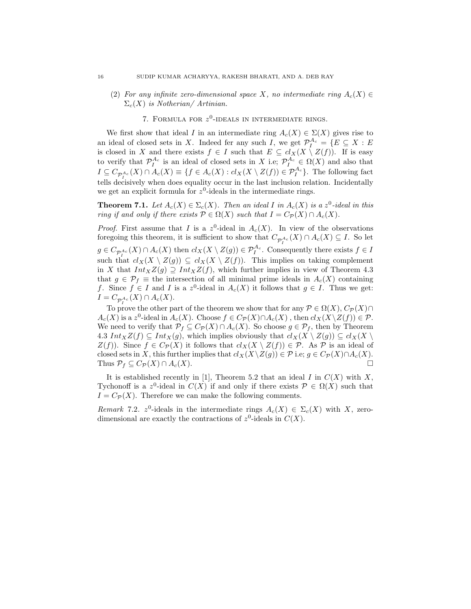- (2) For any infinite zero-dimensional space X, no intermediate ring  $A_c(X) \in$  $\Sigma_c(X)$  is Notherian/Artinian.
	- 7. FORMULA FOR  $z^0$ -IDEALS IN INTERMEDIATE RINGS.

We first show that ideal I in an intermediate ring  $A_c(X) \in \Sigma(X)$  gives rise to an ideal of closed sets in X. Indeed fer any such I, we get  $\mathcal{P}_I^{A_c} = \{E \subseteq X : E$ is closed in X and there exists  $f \in I$  such that  $E \subseteq cl_X(X \setminus Z(f))$ . If is easy to verify that  $\mathcal{P}_I^{A_c}$  is an ideal of closed sets in X i.e;  $\mathcal{P}_I^{A_c} \in \Omega(X)$  and also that  $I \subseteq C_{\mathcal{P}_I^{A_c}}(X) \cap A_c(X) \equiv \{f \in A_c(X) : cl_X(X \setminus Z(f)) \in \mathcal{P}_I^{A_c}\}.$  The following fact tells decisively when does equality occur in the last inclusion relation. Incidentally we get an explicit formula for  $z^0$ -ideals in the intermediate rings.

**Theorem 7.1.** Let  $A_c(X) \in \Sigma_c(X)$ . Then an ideal I in  $A_c(X)$  is a  $z^0$ -ideal in this ring if and only if there exists  $P \in \Omega(X)$  such that  $I = C_{\mathcal{P}}(X) \cap A_c(X)$ .

*Proof.* First assume that I is a  $z^0$ -ideal in  $A_c(X)$ . In view of the observations foregoing this theorem, it is sufficient to show that  $C_{\mathcal{P}^{A_c}}(X) \cap A_c(X) \subseteq I$ . So let  $g \in C_{\mathcal{P}_{I}^{A_c}}(X) \cap A_c(X)$  then  $cl_X(X \setminus Z(g)) \in \mathcal{P}_{I}^{A_c}$ . Consequently there exists  $f \in I$ such that  $cl_X(X \setminus Z(g)) \subseteq cl_X(X \setminus Z(f))$ . This implies on taking complement in X that  $Int_XZ(g) \supseteq Int_XZ(f)$ , which further implies in view of Theorem 4.3 that  $g \in \mathcal{P}_f \equiv$  the intersection of all minimal prime ideals in  $A_c(X)$  containing f. Since  $f \in I$  and I is a  $z^0$ -ideal in  $A_c(X)$  it follows that  $g \in I$ . Thus we get:  $I = C_{\mathcal{P}^{A_c}}(X) \cap A_c(X).$ 

To prove the other part of the theorem we show that for any  $\mathcal{P} \in \Omega(X)$ ,  $C_{\mathcal{P}}(X) \cap$  $A_c(X)$  is a z<sup>0</sup>-ideal in  $A_c(X)$ . Choose  $f \in C_{\mathcal{P}}(X) \cap A_c(X)$ , then  $cl_X(X \setminus Z(f)) \in \mathcal{P}$ . We need to verify that  $\mathcal{P}_f \subseteq C_{\mathcal{P}}(X) \cap A_c(X)$ . So choose  $g \in \mathcal{P}_f$ , then by Theorem 4.3  $Int_XZ(f) \subseteq Int_X(g)$ , which implies obviously that  $cl_X(X \setminus Z(g)) \subseteq cl_X(X \setminus Z(g))$  $Z(f)$ ). Since  $f \in C_{\mathcal{P}}(X)$  it follows that  $cl_X(X \setminus Z(f)) \in \mathcal{P}$ . As  $\mathcal{P}$  is an ideal of closed sets in X, this further implies that  $cl_X(X\setminus Z(g)) \in \mathcal{P}$  i.e;  $g \in C_{\mathcal{P}}(X) \cap A_c(X)$ . Thus  $\mathcal{P}_f \subseteq C_{\mathcal{P}}(X) \cap A_c(X)$ .

It is established recently in [1], Theorem 5.2 that an ideal  $I$  in  $C(X)$  with  $X$ , Tychonoff is a z<sup>0</sup>-ideal in  $C(X)$  if and only if there exists  $\mathcal{P} \in \Omega(X)$  such that  $I = C_{\mathcal{P}}(X)$ . Therefore we can make the following comments.

Remark 7.2.  $z^0$ -ideals in the intermediate rings  $A_c(X) \in \Sigma_c(X)$  with X, zerodimensional are exactly the contractions of  $z^0$ -ideals in  $C(X)$ .